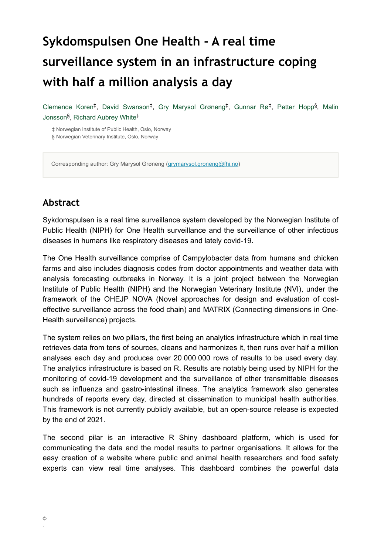# **Sykdomspulsen One Health - A real time surveillance system in an infrastructure coping with half a million analysis a day**

Clemence Koren<sup>‡</sup>, David Swanson<sup>‡</sup>, Gry Marysol Grøneng<sup>‡</sup>, Gunnar Rø<sup>‡</sup>, Petter Hopp<sup>§</sup>, Malin Jonsson<sup>§</sup>, Richard Aubrey White<sup>‡</sup>

‡ Norwegian Institute of Public Health, Oslo, Norway § Norwegian Veterinary Institute, Oslo, Norway

Corresponding author: Gry Marysol Grøneng [\(grymarysol.groneng@fhi.no](mailto:grymarysol.groneng@fhi.no))

### **Abstract**

Sykdomspulsen is a real time surveillance system developed by the Norwegian Institute of Public Health (NIPH) for One Health surveillance and the surveillance of other infectious diseases in humans like respiratory diseases and lately covid-19.

The One Health surveillance comprise of Campylobacter data from humans and chicken farms and also includes diagnosis codes from doctor appointments and weather data with analysis forecasting outbreaks in Norway. It is a joint project between the Norwegian Institute of Public Health (NIPH) and the Norwegian Veterinary Institute (NVI), under the framework of the OHEJP NOVA (Novel approaches for design and evaluation of costeffective surveillance across the food chain) and MATRIX (Connecting dimensions in One-Health surveillance) projects.

The system relies on two pillars, the first being an analytics infrastructure which in real time retrieves data from tens of sources, cleans and harmonizes it, then runs over half a million analyses each day and produces over 20 000 000 rows of results to be used every day. The analytics infrastructure is based on R. Results are notably being used by NIPH for the monitoring of covid-19 development and the surveillance of other transmittable diseases such as influenza and gastro-intestinal illness. The analytics framework also generates hundreds of reports every day, directed at dissemination to municipal health authorities. This framework is not currently publicly available, but an open-source release is expected by the end of 2021.

The second pilar is an interactive R Shiny dashboard platform, which is used for communicating the data and the model results to partner organisations. It allows for the easy creation of a website where public and animal health researchers and food safety experts can view real time analyses. This dashboard combines the powerful data